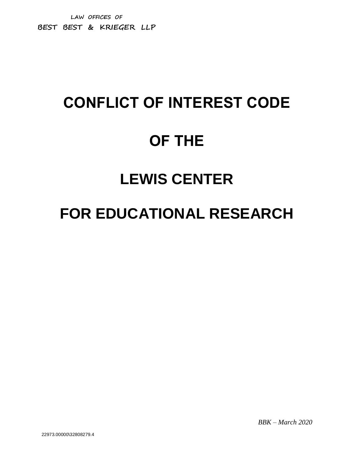**LAW OFFICES OF BEST BEST & KRIEGER LLP**

# **CONFLICT OF INTEREST CODE OF THE LEWIS CENTER**

# **FOR EDUCATIONAL RESEARCH**

*BBK – March 2020*

22973.00000\32808279.4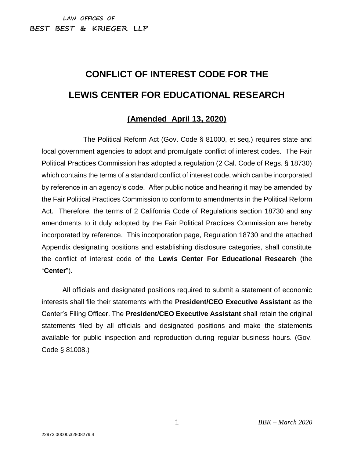# **CONFLICT OF INTEREST CODE FOR THE LEWIS CENTER FOR EDUCATIONAL RESEARCH**

## **(Amended April 13, 2020)**

The Political Reform Act (Gov. Code § 81000, et seq.) requires state and local government agencies to adopt and promulgate conflict of interest codes. The Fair Political Practices Commission has adopted a regulation (2 Cal. Code of Regs. § 18730) which contains the terms of a standard conflict of interest code, which can be incorporated by reference in an agency's code. After public notice and hearing it may be amended by the Fair Political Practices Commission to conform to amendments in the Political Reform Act. Therefore, the terms of 2 California Code of Regulations section 18730 and any amendments to it duly adopted by the Fair Political Practices Commission are hereby incorporated by reference. This incorporation page, Regulation 18730 and the attached Appendix designating positions and establishing disclosure categories, shall constitute the conflict of interest code of the **Lewis Center For Educational Research** (the "**Center**").

All officials and designated positions required to submit a statement of economic interests shall file their statements with the **President/CEO Executive Assistant** as the Center's Filing Officer. The **President/CEO Executive Assistant** shall retain the original statements filed by all officials and designated positions and make the statements available for public inspection and reproduction during regular business hours. (Gov. Code § 81008.)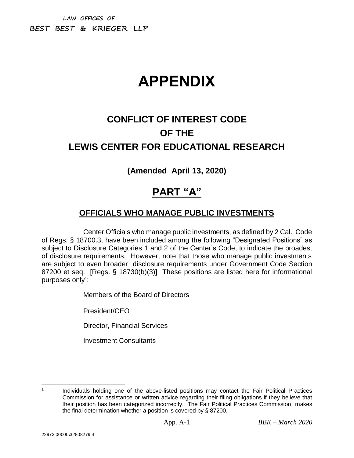**LAW OFFICES OF BEST BEST & KRIEGER LLP**

# **APPENDIX**

# **CONFLICT OF INTEREST CODE OF THE LEWIS CENTER FOR EDUCATIONAL RESEARCH**

## **(Amended April 13, 2020)**

# **PART "A"**

#### **OFFICIALS WHO MANAGE PUBLIC INVESTMENTS**

Center Officials who manage public investments, as defined by 2 Cal. Code of Regs. § 18700.3, have been included among the following "Designated Positions" as subject to Disclosure Categories 1 and 2 of the Center's Code, to indicate the broadest of disclosure requirements. However, note that those who manage public investments are subject to even broader disclosure requirements under Government Code Section 87200 et seq. [Regs. § 18730(b)(3)] These positions are listed here for informational purposes only<sup>1</sup>:

Members of the Board of Directors

President/CEO

Director, Financial Services

Investment Consultants

 $\overline{a}$ 1

Individuals holding one of the above-listed positions may contact the Fair Political Practices Commission for assistance or written advice regarding their filing obligations if they believe that their position has been categorized incorrectly. The Fair Political Practices Commission makes the final determination whether a position is covered by § 87200.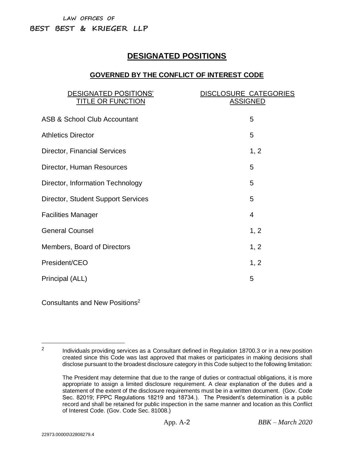## **DESIGNATED POSITIONS**

#### **GOVERNED BY THE CONFLICT OF INTEREST CODE**

| <b>DESIGNATED POSITIONS'</b><br><b>TITLE OR FUNCTION</b> | <b>DISCLOSURE CATEGORIES</b><br><b>ASSIGNED</b> |
|----------------------------------------------------------|-------------------------------------------------|
| <b>ASB &amp; School Club Accountant</b>                  | 5                                               |
| <b>Athletics Director</b>                                | 5                                               |
| Director, Financial Services                             | 1, 2                                            |
| Director, Human Resources                                | 5                                               |
| Director, Information Technology                         | 5                                               |
| Director, Student Support Services                       | 5                                               |
| <b>Facilities Manager</b>                                | 4                                               |
| <b>General Counsel</b>                                   | 1, 2                                            |
| <b>Members, Board of Directors</b>                       | 1, 2                                            |
| President/CEO                                            | 1, 2                                            |
| Principal (ALL)                                          | 5                                               |

Consultants and New Positions<sup>2</sup>

 $\overline{a}$ 2

Individuals providing services as a Consultant defined in Regulation 18700.3 or in a new position created since this Code was last approved that makes or participates in making decisions shall disclose pursuant to the broadest disclosure category in this Code subject to the following limitation:

The President may determine that due to the range of duties or contractual obligations, it is more appropriate to assign a limited disclosure requirement. A clear explanation of the duties and a statement of the extent of the disclosure requirements must be in a written document. (Gov. Code Sec. 82019; FPPC Regulations 18219 and 18734.). The President's determination is a public record and shall be retained for public inspection in the same manner and location as this Conflict of Interest Code. (Gov. Code Sec. 81008.)